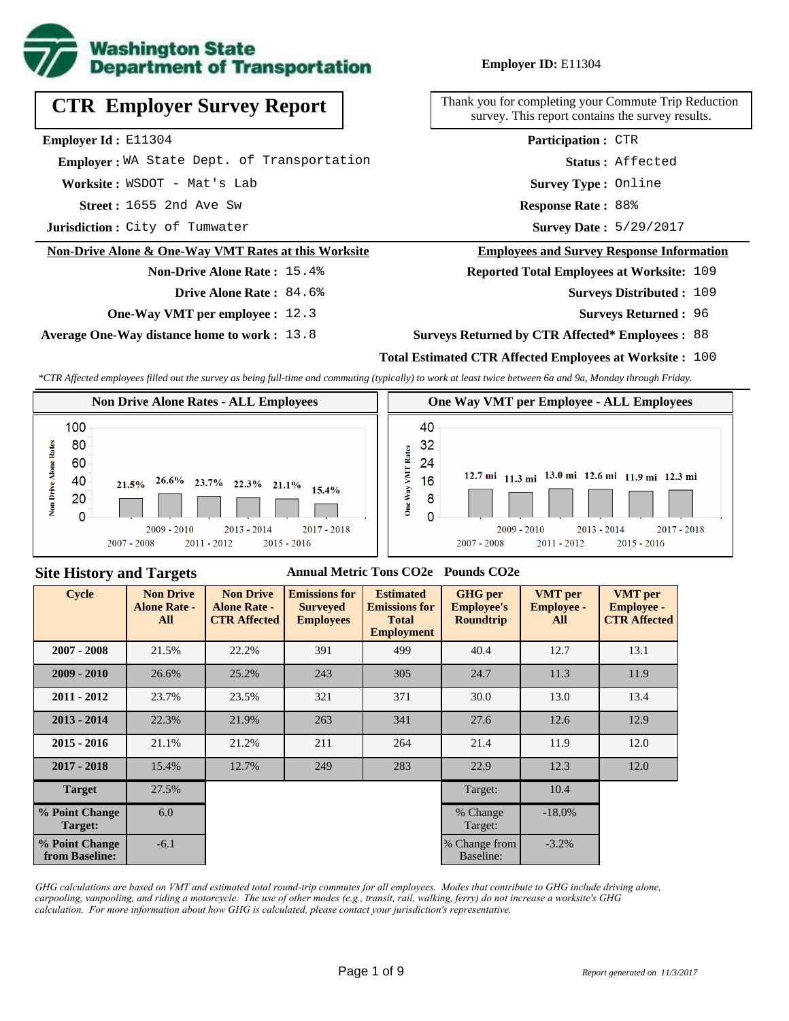

#### **Employer ID:** E11304

**CTR Employer Survey Report**

**Employer Id :** E11304

 **Employer :** WA State Dept. of Transportation

Worksite: WSDOT - Mat's Lab

**1655 2nd Ave Sw <b>Response Rate** : 1655 2nd Ave Sw **Response Rate** :

**Jurisdiction :** City of Tumwater

#### **Non-Drive Alone & One-Way VMT Rates at this Worksite**

# **Non-Drive Alone Rate :** 15.4%

- **Drive Alone Rate :** 84.6%
- **One-Way VMT per employee :** 12.3

**Average One-Way distance home to work :** 13.8

Thank you for completing your Commute Trip Reduction survey. This report contains the survey results.

> **Survey Type :** Online **Status :** Affected **Participation :** CTR

Response Rate: 88%

Survey Date: 5/29/2017

#### **Employees and Survey Response Information**

**Reported Total Employees at Worksite:** 109

- Surveys Distributed : 109
	- **Surveys Returned :** 96

#### **Surveys Returned by CTR Affected\* Employees :** 88

#### **Total Estimated CTR Affected Employees at Worksite :** 100

*\*CTR Affected employees filled out the survey as being full-time and commuting (typically) to work at least twice between 6a and 9a, Monday through Friday.*



#### **Site History and Targets**

#### **Annual Metric Tons CO2e Pounds CO2e**

| <b>Cycle</b>                     | <b>Non Drive</b><br><b>Alone Rate -</b><br>All | <b>Non Drive</b><br><b>Alone Rate -</b><br><b>CTR Affected</b> | <b>Emissions for</b><br><b>Surveyed</b><br><b>Employees</b> | <b>Estimated</b><br><b>Emissions for</b><br><b>Total</b><br><b>Employment</b> | <b>GHG</b> per<br><b>Employee's</b><br><b>Roundtrip</b> | <b>VMT</b> per<br><b>Employee -</b><br>All | <b>VMT</b> per<br><b>Employee -</b><br><b>CTR Affected</b> |
|----------------------------------|------------------------------------------------|----------------------------------------------------------------|-------------------------------------------------------------|-------------------------------------------------------------------------------|---------------------------------------------------------|--------------------------------------------|------------------------------------------------------------|
| $2007 - 2008$                    | 21.5%                                          | 22.2%                                                          | 391                                                         | 499                                                                           | 40.4                                                    | 12.7                                       | 13.1                                                       |
| $2009 - 2010$                    | 26.6%                                          | 25.2%                                                          | 243                                                         | 305                                                                           | 24.7                                                    | 11.3                                       | 11.9                                                       |
| $2011 - 2012$                    | 23.7%                                          | 23.5%                                                          | 321                                                         | 371                                                                           | 30.0                                                    | 13.0                                       | 13.4                                                       |
| $2013 - 2014$                    | 22.3%                                          | 21.9%                                                          | 263                                                         | 341                                                                           | 27.6                                                    | 12.6                                       | 12.9                                                       |
| $2015 - 2016$                    | 21.1%                                          | 21.2%                                                          | 211                                                         | 264                                                                           | 21.4                                                    | 11.9                                       | 12.0                                                       |
| $2017 - 2018$                    | 15.4%                                          | 12.7%                                                          | 249                                                         | 283                                                                           | 22.9                                                    | 12.3                                       | 12.0                                                       |
| <b>Target</b>                    | 27.5%                                          |                                                                |                                                             |                                                                               | Target:                                                 | 10.4                                       |                                                            |
| % Point Change<br>Target:        | 6.0                                            |                                                                |                                                             |                                                                               | % Change<br>Target:                                     | $-18.0%$                                   |                                                            |
| % Point Change<br>from Baseline: | $-6.1$                                         |                                                                |                                                             |                                                                               | % Change from<br>Baseline:                              | $-3.2\%$                                   |                                                            |

*GHG calculations are based on VMT and estimated total round-trip commutes for all employees. Modes that contribute to GHG include driving alone, carpooling, vanpooling, and riding a motorcycle. The use of other modes (e.g., transit, rail, walking, ferry) do not increase a worksite's GHG calculation. For more information about how GHG is calculated, please contact your jurisdiction's representative.*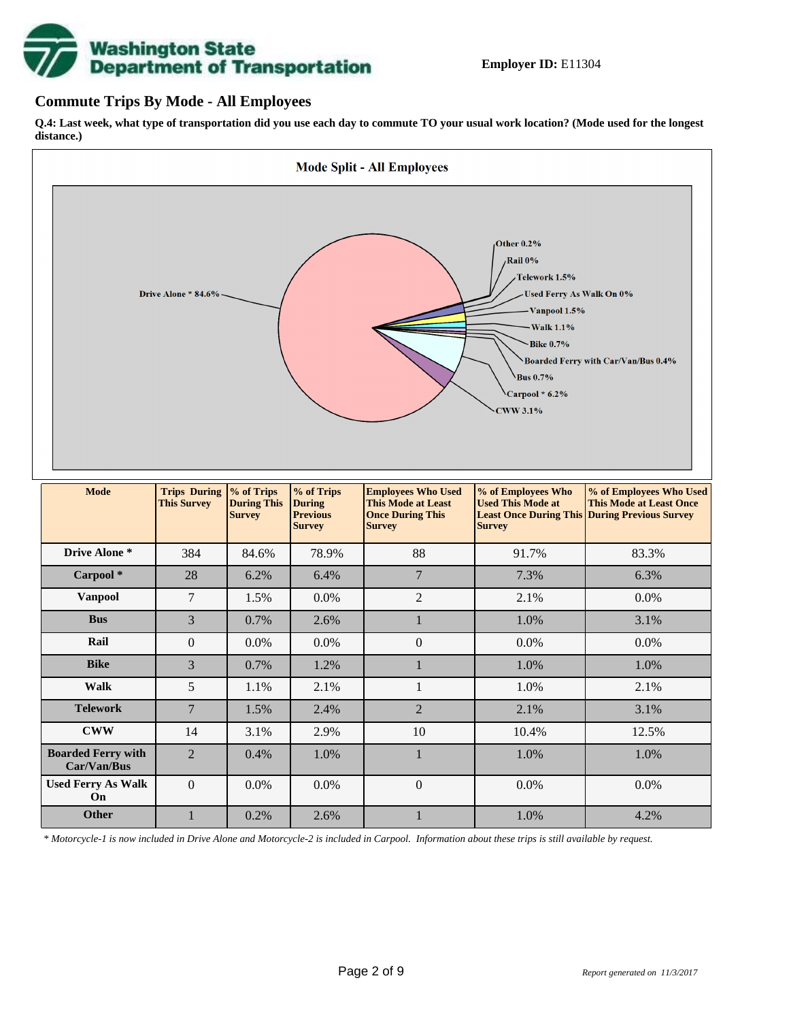# **Washington State<br>Department of Transportation**

#### **Commute Trips By Mode - All Employees**

**Q.4: Last week, what type of transportation did you use each day to commute TO your usual work location? (Mode used for the longest distance.)**



*\* Motorcycle-1 is now included in Drive Alone and Motorcycle-2 is included in Carpool. Information about these trips is still available by request.*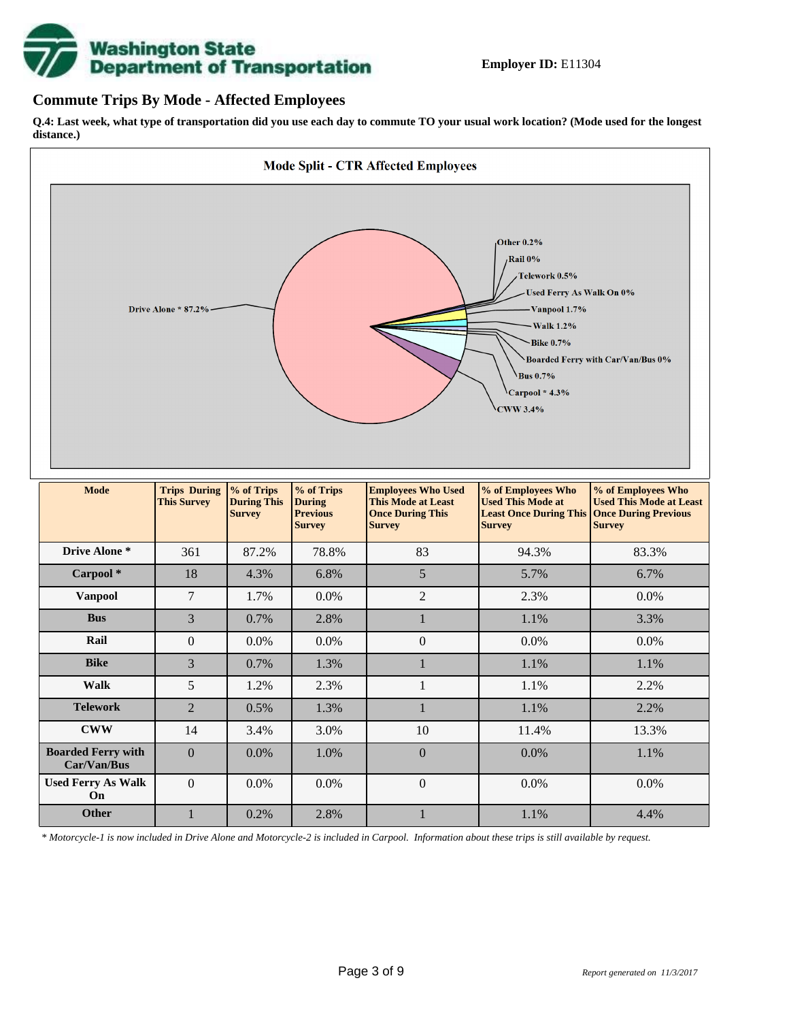

#### **Commute Trips By Mode - Affected Employees**

**Q.4: Last week, what type of transportation did you use each day to commute TO your usual work location? (Mode used for the longest distance.)**



*\* Motorcycle-1 is now included in Drive Alone and Motorcycle-2 is included in Carpool. Information about these trips is still available by request.*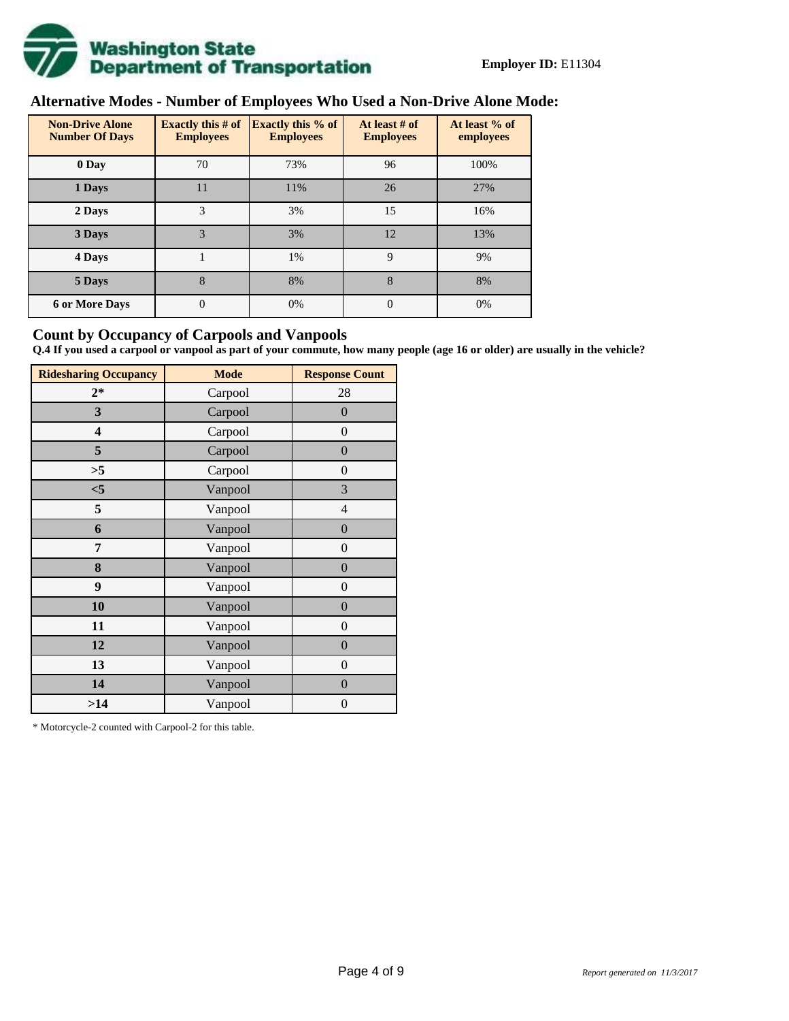

# **Alternative Modes - Number of Employees Who Used a Non-Drive Alone Mode:**

| <b>Non-Drive Alone</b><br><b>Number Of Days</b> | <b>Exactly this # of</b><br><b>Employees</b> | <b>Exactly this % of</b><br><b>Employees</b> | At least # of<br><b>Employees</b> | At least % of<br>employees |
|-------------------------------------------------|----------------------------------------------|----------------------------------------------|-----------------------------------|----------------------------|
| 0 Day                                           | 70                                           | 73%                                          | 96                                | 100%                       |
| 1 Days                                          | 11                                           | 11%                                          | 26                                | 27%                        |
| 2 Days                                          | 3                                            | 3%                                           | 15                                | 16%                        |
| 3 Days                                          | 3                                            | 3%                                           | 12                                | 13%                        |
| 4 Days                                          |                                              | 1%                                           | 9                                 | 9%                         |
| 5 Days                                          | 8                                            | 8%                                           | 8                                 | 8%                         |
| <b>6 or More Days</b>                           | $\theta$                                     | 0%                                           | $\Omega$                          | 0%                         |

#### **Count by Occupancy of Carpools and Vanpools**

**Q.4 If you used a carpool or vanpool as part of your commute, how many people (age 16 or older) are usually in the vehicle?**

| <b>Ridesharing Occupancy</b> | <b>Mode</b> | <b>Response Count</b> |
|------------------------------|-------------|-----------------------|
| $2*$                         | Carpool     | 28                    |
| 3                            | Carpool     | $\overline{0}$        |
| 4                            | Carpool     | $\boldsymbol{0}$      |
| 5                            | Carpool     | $\boldsymbol{0}$      |
| >5                           | Carpool     | $\boldsymbol{0}$      |
| $<$ 5                        | Vanpool     | 3                     |
| 5                            | Vanpool     | $\overline{4}$        |
| 6                            | Vanpool     | $\boldsymbol{0}$      |
| 7                            | Vanpool     | $\boldsymbol{0}$      |
| 8                            | Vanpool     | $\overline{0}$        |
| 9                            | Vanpool     | $\overline{0}$        |
| 10                           | Vanpool     | $\overline{0}$        |
| 11                           | Vanpool     | $\boldsymbol{0}$      |
| 12                           | Vanpool     | $\boldsymbol{0}$      |
| 13                           | Vanpool     | $\boldsymbol{0}$      |
| 14                           | Vanpool     | $\overline{0}$        |
| >14                          | Vanpool     | $\boldsymbol{0}$      |

\* Motorcycle-2 counted with Carpool-2 for this table.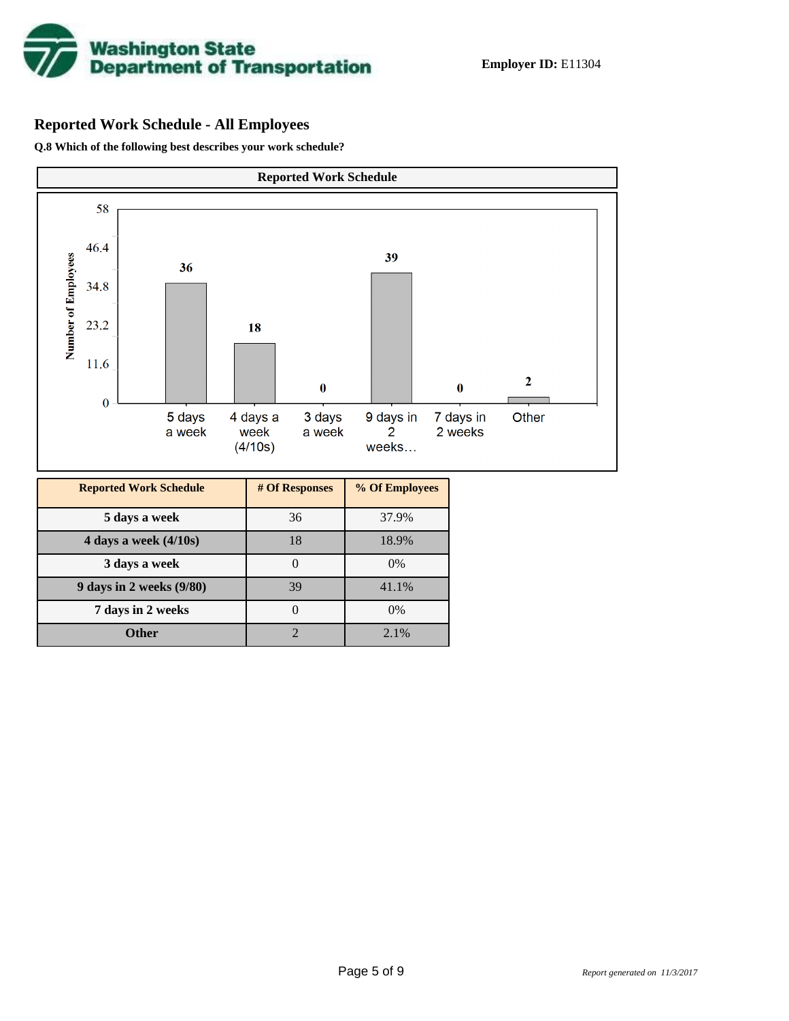

# **Reported Work Schedule - All Employees**

**Q.8 Which of the following best describes your work schedule?**

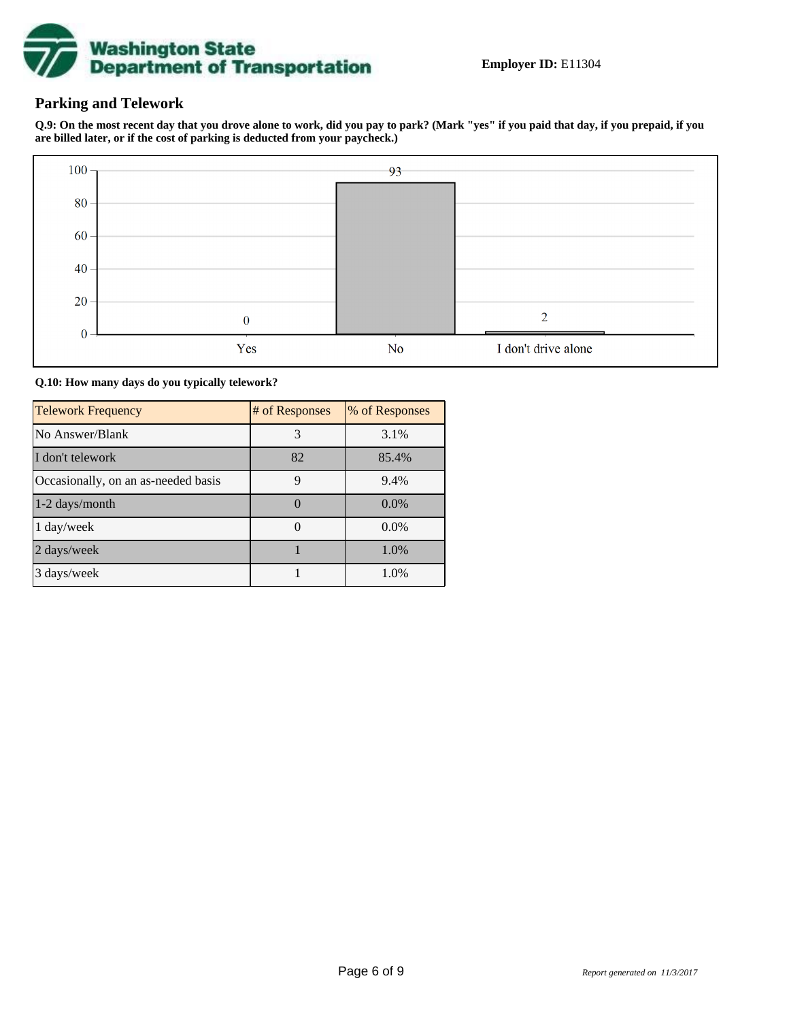

### **Parking and Telework**

**Q.9: On the most recent day that you drove alone to work, did you pay to park? (Mark "yes" if you paid that day, if you prepaid, if you are billed later, or if the cost of parking is deducted from your paycheck.)**



**Q.10: How many days do you typically telework?**

| <b>Telework Frequency</b>           | # of Responses | % of Responses |
|-------------------------------------|----------------|----------------|
| No Answer/Blank                     | 3              | 3.1%           |
| I don't telework                    | 82             | 85.4%          |
| Occasionally, on an as-needed basis | 9              | 9.4%           |
| 1-2 days/month                      | 0              | $0.0\%$        |
| $1 \text{ day/week}$                |                | 0.0%           |
| 2 days/week                         |                | 1.0%           |
| 3 days/week                         |                | 1.0%           |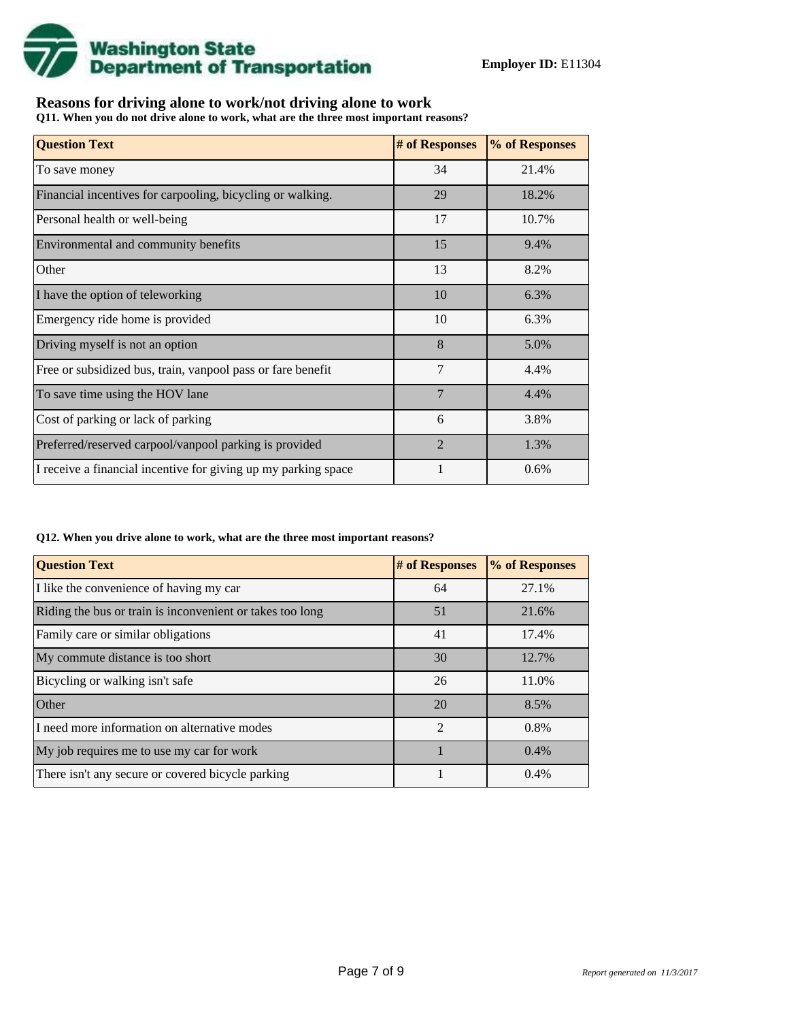

## **Reasons for driving alone to work/not driving alone to work**

**Q11. When you do not drive alone to work, what are the three most important reasons?**

| <b>Question Text</b>                                           | # of Responses | % of Responses |
|----------------------------------------------------------------|----------------|----------------|
| To save money                                                  | 34             | 21.4%          |
| Financial incentives for carpooling, bicycling or walking.     | 29             | 18.2%          |
| Personal health or well-being                                  | 17             | 10.7%          |
| Environmental and community benefits                           | 15             | 9.4%           |
| Other                                                          | 13             | 8.2%           |
| I have the option of teleworking                               | 10             | 6.3%           |
| Emergency ride home is provided                                | 10             | 6.3%           |
| Driving myself is not an option                                | 8              | 5.0%           |
| Free or subsidized bus, train, vanpool pass or fare benefit    | 7              | 4.4%           |
| To save time using the HOV lane                                | $\overline{7}$ | 4.4%           |
| Cost of parking or lack of parking                             | 6              | 3.8%           |
| Preferred/reserved carpool/vanpool parking is provided         | $\overline{2}$ | 1.3%           |
| I receive a financial incentive for giving up my parking space |                | 0.6%           |

#### **Q12. When you drive alone to work, what are the three most important reasons?**

| <b>Question Text</b>                                      | # of Responses | % of Responses |
|-----------------------------------------------------------|----------------|----------------|
| I like the convenience of having my car                   | 64             | 27.1%          |
| Riding the bus or train is inconvenient or takes too long | 51             | 21.6%          |
| Family care or similar obligations                        | 41             | 17.4%          |
| My commute distance is too short                          | 30             | 12.7%          |
| Bicycling or walking isn't safe                           | 26             | 11.0%          |
| Other                                                     | 20             | 8.5%           |
| I need more information on alternative modes              | $\mathfrak{D}$ | 0.8%           |
| My job requires me to use my car for work                 |                | 0.4%           |
| There isn't any secure or covered bicycle parking         |                | 0.4%           |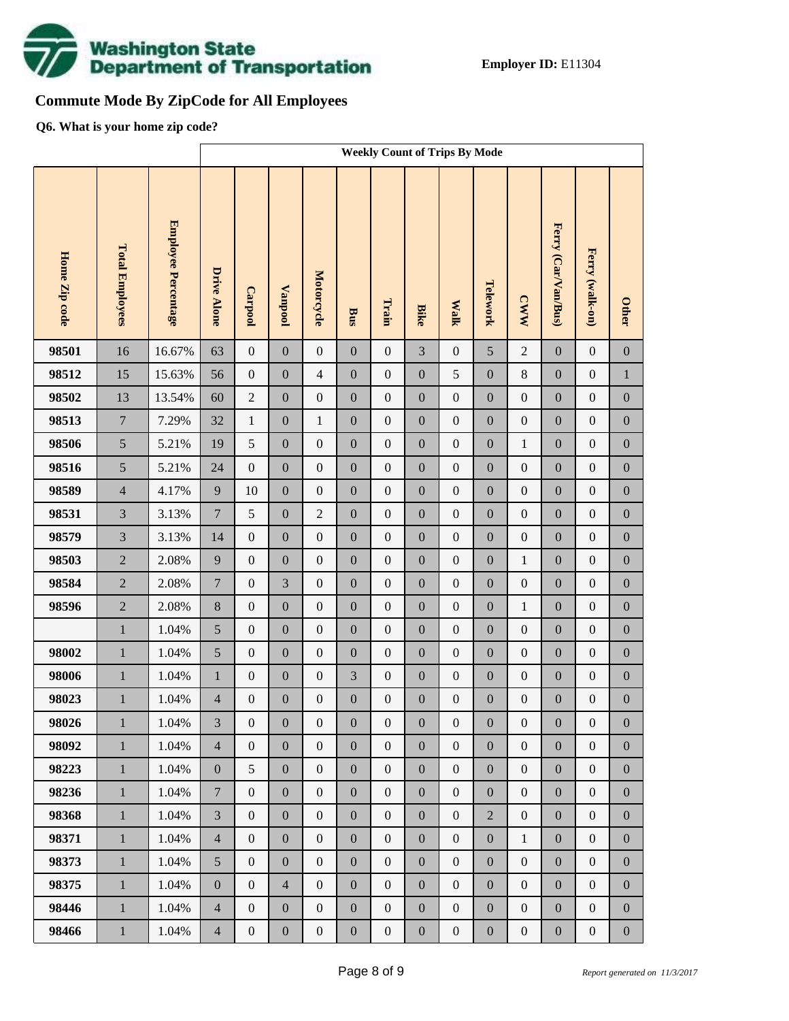

# **Commute Mode By ZipCode for All Employees**

**Q6. What is your home zip code?**

|                |                              |                            | <b>Weekly Count of Trips By Mode</b> |                                      |                                      |                                      |                                      |                                      |                                      |                                      |                                      |                                      |                                      |                                      |                                      |
|----------------|------------------------------|----------------------------|--------------------------------------|--------------------------------------|--------------------------------------|--------------------------------------|--------------------------------------|--------------------------------------|--------------------------------------|--------------------------------------|--------------------------------------|--------------------------------------|--------------------------------------|--------------------------------------|--------------------------------------|
| Home Zip code  | <b>Total Employees</b>       | <b>Employee Percentage</b> | <b>Drive Alone</b>                   | Carpool                              | <b>Vanpool</b>                       | Motorcycle                           | Bus                                  | Train                                | <b>Bike</b>                          | <b>Walk</b>                          | Telework                             | <b>CWW</b>                           | Ferry (Car/Van/Bus)                  | Ferry (walk-on)                      | <b>Other</b>                         |
| 98501          | 16                           | 16.67%                     | 63                                   | $\boldsymbol{0}$                     | $\mathbf{0}$                         | $\boldsymbol{0}$                     | $\overline{0}$                       | $\boldsymbol{0}$                     | $\overline{3}$                       | $\boldsymbol{0}$                     | 5                                    | $\overline{2}$                       | $\boldsymbol{0}$                     | $\boldsymbol{0}$                     | $\boldsymbol{0}$                     |
| 98512          | 15                           | 15.63%                     | 56                                   | $\boldsymbol{0}$                     | $\boldsymbol{0}$                     | $\overline{4}$                       | $\boldsymbol{0}$                     | $\boldsymbol{0}$                     | $\overline{0}$                       | 5                                    | $\boldsymbol{0}$                     | $8\,$                                | $\boldsymbol{0}$                     | $\boldsymbol{0}$                     | $\,1$                                |
| 98502          | 13                           | 13.54%                     | 60                                   | $\sqrt{2}$                           | $\boldsymbol{0}$                     | $\boldsymbol{0}$                     | $\boldsymbol{0}$                     | $\boldsymbol{0}$                     | $\boldsymbol{0}$                     | $\boldsymbol{0}$                     | $\boldsymbol{0}$                     | $\boldsymbol{0}$                     | $\boldsymbol{0}$                     | $\boldsymbol{0}$                     | $\boldsymbol{0}$                     |
| 98513          | $\overline{7}$               | 7.29%                      | 32                                   | $\mathbf{1}$                         | $\boldsymbol{0}$                     | $\mathbf{1}$                         | $\boldsymbol{0}$                     | $\boldsymbol{0}$                     | $\overline{0}$                       | $\boldsymbol{0}$                     | $\boldsymbol{0}$                     | $\boldsymbol{0}$                     | $\boldsymbol{0}$                     | $\boldsymbol{0}$                     | $\boldsymbol{0}$                     |
| 98506          | 5                            | 5.21%                      | 19                                   | 5                                    | $\boldsymbol{0}$                     | $\boldsymbol{0}$                     | $\boldsymbol{0}$                     | $\boldsymbol{0}$                     | $\boldsymbol{0}$                     | $\boldsymbol{0}$                     | $\boldsymbol{0}$                     | $\mathbf{1}$                         | $\boldsymbol{0}$                     | $\boldsymbol{0}$                     | $\boldsymbol{0}$                     |
| 98516          | 5                            | 5.21%                      | 24                                   | $\boldsymbol{0}$                     | $\boldsymbol{0}$                     | $\boldsymbol{0}$                     | $\boldsymbol{0}$                     | $\mathbf{0}$                         | $\overline{0}$                       | $\boldsymbol{0}$                     | $\mathbf{0}$                         | $\boldsymbol{0}$                     | $\boldsymbol{0}$                     | $\boldsymbol{0}$                     | $\boldsymbol{0}$                     |
| 98589          | $\overline{4}$               | 4.17%                      | $\overline{9}$                       | 10                                   | $\boldsymbol{0}$                     | $\boldsymbol{0}$                     | $\boldsymbol{0}$                     | $\boldsymbol{0}$                     | $\boldsymbol{0}$                     | $\boldsymbol{0}$                     | $\boldsymbol{0}$                     | $\boldsymbol{0}$                     | $\boldsymbol{0}$                     | $\boldsymbol{0}$                     | $\boldsymbol{0}$                     |
| 98531          | $\overline{3}$               | 3.13%                      | $\boldsymbol{7}$                     | 5                                    | $\boldsymbol{0}$                     | $\overline{2}$                       | $\boldsymbol{0}$                     | $\boldsymbol{0}$                     | $\overline{0}$                       | $\boldsymbol{0}$                     | $\boldsymbol{0}$                     | $\boldsymbol{0}$                     | $\boldsymbol{0}$                     | $\boldsymbol{0}$                     | $\boldsymbol{0}$                     |
| 98579          | $\overline{3}$               | 3.13%                      | 14                                   | $\boldsymbol{0}$                     | $\boldsymbol{0}$                     | $\boldsymbol{0}$                     | $\boldsymbol{0}$                     | $\boldsymbol{0}$                     | $\boldsymbol{0}$                     | $\boldsymbol{0}$                     | $\boldsymbol{0}$                     | $\boldsymbol{0}$                     | $\boldsymbol{0}$                     | $\boldsymbol{0}$                     | $\boldsymbol{0}$                     |
| 98503          | $\overline{2}$               | 2.08%                      | 9                                    | $\boldsymbol{0}$                     | $\boldsymbol{0}$                     | $\boldsymbol{0}$                     | $\boldsymbol{0}$                     | $\mathbf{0}$                         | $\overline{0}$                       | $\boldsymbol{0}$                     | $\boldsymbol{0}$                     | $\mathbf{1}$                         | $\boldsymbol{0}$                     | $\boldsymbol{0}$                     | $\boldsymbol{0}$                     |
| 98584          | $\overline{2}$               | 2.08%                      | $\boldsymbol{7}$                     | $\boldsymbol{0}$                     | 3                                    | $\boldsymbol{0}$                     | $\boldsymbol{0}$                     | $\boldsymbol{0}$                     | $\boldsymbol{0}$                     | $\boldsymbol{0}$                     | $\boldsymbol{0}$                     | $\boldsymbol{0}$                     | $\boldsymbol{0}$                     | $\boldsymbol{0}$                     | $\boldsymbol{0}$                     |
| 98596          | $\overline{2}$               | 2.08%                      | $8\,$                                | $\boldsymbol{0}$                     | $\boldsymbol{0}$                     | $\boldsymbol{0}$                     | $\boldsymbol{0}$                     | $\boldsymbol{0}$                     | $\overline{0}$                       | $\boldsymbol{0}$                     | $\boldsymbol{0}$                     | $\mathbf{1}$                         | $\boldsymbol{0}$                     | $\boldsymbol{0}$                     | $\boldsymbol{0}$                     |
|                | $\mathbf{1}$                 | 1.04%                      | 5                                    | $\boldsymbol{0}$                     | $\boldsymbol{0}$                     | $\boldsymbol{0}$                     | $\boldsymbol{0}$                     | $\boldsymbol{0}$                     | $\boldsymbol{0}$                     | $\boldsymbol{0}$                     | $\boldsymbol{0}$                     | $\boldsymbol{0}$                     | $\boldsymbol{0}$                     | $\boldsymbol{0}$                     | $\boldsymbol{0}$                     |
| 98002          | $\mathbf{1}$                 | 1.04%                      | 5                                    | $\boldsymbol{0}$                     | $\boldsymbol{0}$                     | $\boldsymbol{0}$                     | $\boldsymbol{0}$                     | $\mathbf{0}$                         | $\overline{0}$                       | $\boldsymbol{0}$                     | $\boldsymbol{0}$                     | $\boldsymbol{0}$                     | $\boldsymbol{0}$                     | $\boldsymbol{0}$                     | $\boldsymbol{0}$                     |
| 98006          | $\mathbf{1}$                 | 1.04%                      | $\,1\,$                              | $\boldsymbol{0}$                     | $\boldsymbol{0}$                     | $\boldsymbol{0}$                     | 3                                    | $\boldsymbol{0}$                     | $\boldsymbol{0}$                     | $\boldsymbol{0}$                     | $\boldsymbol{0}$                     | $\boldsymbol{0}$                     | $\boldsymbol{0}$                     | $\boldsymbol{0}$                     | $\boldsymbol{0}$                     |
| 98023<br>98026 | $\mathbf{1}$<br>$\mathbf{1}$ | 1.04%<br>$1.04\%$          | $\overline{4}$<br>3                  | $\boldsymbol{0}$<br>$\boldsymbol{0}$ | $\boldsymbol{0}$<br>$\boldsymbol{0}$ | $\boldsymbol{0}$<br>$\boldsymbol{0}$ | $\boldsymbol{0}$<br>$\boldsymbol{0}$ | $\boldsymbol{0}$<br>$\boldsymbol{0}$ | $\boldsymbol{0}$<br>$\boldsymbol{0}$ | $\boldsymbol{0}$<br>$\boldsymbol{0}$ | $\boldsymbol{0}$<br>$\boldsymbol{0}$ | $\boldsymbol{0}$<br>$\boldsymbol{0}$ | $\boldsymbol{0}$<br>$\boldsymbol{0}$ | $\boldsymbol{0}$<br>$\boldsymbol{0}$ | $\boldsymbol{0}$<br>$\boldsymbol{0}$ |
| 98092          | $\mathbf{1}$                 | 1.04%                      | $\overline{4}$                       | $\mathbf{0}$                         | $\boldsymbol{0}$                     | $\boldsymbol{0}$                     | $\boldsymbol{0}$                     | $\boldsymbol{0}$                     | $\boldsymbol{0}$                     | $\boldsymbol{0}$                     | $\boldsymbol{0}$                     | $\boldsymbol{0}$                     | $\boldsymbol{0}$                     | $\boldsymbol{0}$                     | $\boldsymbol{0}$                     |
| 98223          | $1\,$                        | 1.04%                      | $\boldsymbol{0}$                     | 5                                    | $\boldsymbol{0}$                     | $\boldsymbol{0}$                     | $\boldsymbol{0}$                     | $\boldsymbol{0}$                     | $\boldsymbol{0}$                     | $\boldsymbol{0}$                     | $\boldsymbol{0}$                     | $\boldsymbol{0}$                     | $\boldsymbol{0}$                     | $\boldsymbol{0}$                     | $\boldsymbol{0}$                     |
| 98236          | $\mathbf{1}$                 | 1.04%                      | $7\phantom{.0}$                      | $\overline{0}$                       | $\boldsymbol{0}$                     | $\boldsymbol{0}$                     | $\boldsymbol{0}$                     | $\boldsymbol{0}$                     | $\boldsymbol{0}$                     | $\boldsymbol{0}$                     | $\boldsymbol{0}$                     | $\boldsymbol{0}$                     | $\boldsymbol{0}$                     | $\boldsymbol{0}$                     | $\boldsymbol{0}$                     |
| 98368          | $1\,$                        | 1.04%                      | $\overline{3}$                       | $\boldsymbol{0}$                     | $\boldsymbol{0}$                     | $\boldsymbol{0}$                     | $\boldsymbol{0}$                     | $\overline{0}$                       | $\boldsymbol{0}$                     | $\boldsymbol{0}$                     | $\overline{2}$                       | $\boldsymbol{0}$                     | $\boldsymbol{0}$                     | $\boldsymbol{0}$                     | $\boldsymbol{0}$                     |
| 98371          | $\mathbf{1}$                 | 1.04%                      | $\overline{4}$                       | $\boldsymbol{0}$                     | $\boldsymbol{0}$                     | $\boldsymbol{0}$                     | $\boldsymbol{0}$                     | $\boldsymbol{0}$                     | $\boldsymbol{0}$                     | $\boldsymbol{0}$                     | $\boldsymbol{0}$                     | $\mathbf{1}$                         | $\boldsymbol{0}$                     | $\boldsymbol{0}$                     | $\boldsymbol{0}$                     |
| 98373          | $1\,$                        | 1.04%                      | 5                                    | $\boldsymbol{0}$                     | $\boldsymbol{0}$                     | $\boldsymbol{0}$                     | $\boldsymbol{0}$                     | $\overline{0}$                       | $\boldsymbol{0}$                     | $\boldsymbol{0}$                     | $\boldsymbol{0}$                     | $\boldsymbol{0}$                     | $\boldsymbol{0}$                     | $\boldsymbol{0}$                     | $\boldsymbol{0}$                     |
| 98375          | $\mathbf{1}$                 | 1.04%                      | $\boldsymbol{0}$                     | $\overline{0}$                       | $\overline{4}$                       | $\boldsymbol{0}$                     | $\boldsymbol{0}$                     | $\boldsymbol{0}$                     | $\boldsymbol{0}$                     | $\boldsymbol{0}$                     | $\boldsymbol{0}$                     | $\boldsymbol{0}$                     | $\boldsymbol{0}$                     | $\boldsymbol{0}$                     | $\boldsymbol{0}$                     |
| 98446          | $1\,$                        | 1.04%                      | $\overline{4}$                       | $\boldsymbol{0}$                     | $\boldsymbol{0}$                     | $\boldsymbol{0}$                     | $\boldsymbol{0}$                     | $\overline{0}$                       | $\boldsymbol{0}$                     | $\boldsymbol{0}$                     | $\boldsymbol{0}$                     | $\boldsymbol{0}$                     | $\boldsymbol{0}$                     | $\boldsymbol{0}$                     | $\boldsymbol{0}$                     |
| 98466          | $1\,$                        | 1.04%                      | $\overline{4}$                       | $\boldsymbol{0}$                     | $\boldsymbol{0}$                     | $\boldsymbol{0}$                     | $\boldsymbol{0}$                     | $\boldsymbol{0}$                     | $\boldsymbol{0}$                     | $\boldsymbol{0}$                     | $\boldsymbol{0}$                     | $\boldsymbol{0}$                     | $\boldsymbol{0}$                     | $\boldsymbol{0}$                     | $\boldsymbol{0}$                     |